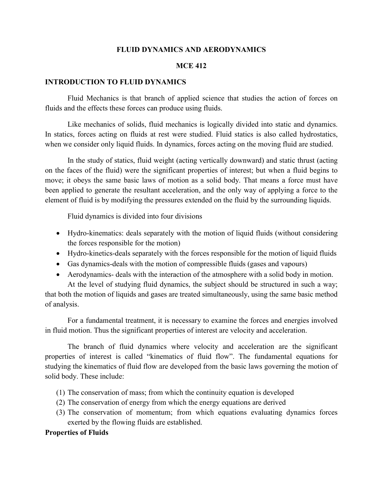## **FLUID DYNAMICS AND AERODYNAMICS**

## **MCE 412**

### **INTRODUCTION TO FLUID DYNAMICS**

Fluid Mechanics is that branch of applied science that studies the action of forces on fluids and the effects these forces can produce using fluids.

Like mechanics of solids, fluid mechanics is logically divided into static and dynamics. In statics, forces acting on fluids at rest were studied. Fluid statics is also called hydrostatics, when we consider only liquid fluids. In dynamics, forces acting on the moving fluid are studied.

In the study of statics, fluid weight (acting vertically downward) and static thrust (acting on the faces of the fluid) were the significant properties of interest; but when a fluid begins to move; it obeys the same basic laws of motion as a solid body. That means a force must have been applied to generate the resultant acceleration, and the only way of applying a force to the element of fluid is by modifying the pressures extended on the fluid by the surrounding liquids.

Fluid dynamics is divided into four divisions

- Hydro-kinematics: deals separately with the motion of liquid fluids (without considering the forces responsible for the motion)
- Hydro-kinetics-deals separately with the forces responsible for the motion of liquid fluids
- Gas dynamics-deals with the motion of compressible fluids (gases and vapours)
- Aerodynamics- deals with the interaction of the atmosphere with a solid body in motion.

At the level of studying fluid dynamics, the subject should be structured in such a way; that both the motion of liquids and gases are treated simultaneously, using the same basic method of analysis.

For a fundamental treatment, it is necessary to examine the forces and energies involved in fluid motion. Thus the significant properties of interest are velocity and acceleration.

The branch of fluid dynamics where velocity and acceleration are the significant properties of interest is called "kinematics of fluid flow". The fundamental equations for studying the kinematics of fluid flow are developed from the basic laws governing the motion of solid body. These include:

- (1) The conservation of mass; from which the continuity equation is developed
- (2) The conservation of energy from which the energy equations are derived
- (3) The conservation of momentum; from which equations evaluating dynamics forces exerted by the flowing fluids are established.

### **Properties of Fluids**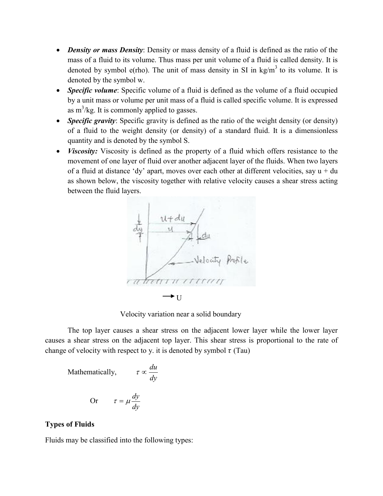- *Density or mass Density*: Density or mass density of a fluid is defined as the ratio of the mass of a fluid to its volume. Thus mass per unit volume of a fluid is called density. It is denoted by symbol e(rho). The unit of mass density in SI in  $kg/m<sup>3</sup>$  to its volume. It is denoted by the symbol w.
- *Specific volume*: Specific volume of a fluid is defined as the volume of a fluid occupied by a unit mass or volume per unit mass of a fluid is called specific volume. It is expressed as  $m^3/kg$ . It is commonly applied to gasses.
- *Specific gravity*: Specific gravity is defined as the ratio of the weight density (or density) of a fluid to the weight density (or density) of a standard fluid. It is a dimensionless quantity and is denoted by the symbol S.
- *Viscosity:* Viscosity is defined as the property of a fluid which offers resistance to the movement of one layer of fluid over another adjacent layer of the fluids. When two layers of a fluid at distance 'dy' apart, moves over each other at different velocities, say  $u + du$ as shown below, the viscosity together with relative velocity causes a shear stress acting between the fluid layers.



Velocity variation near a solid boundary

The top layer causes a shear stress on the adjacent lower layer while the lower layer causes a shear stress on the adjacent top layer. This shear stress is proportional to the rate of change of velocity with respect to y. it is denoted by symbol  $\tau$  (Tau)

Mathematically, 
$$
\tau \propto \frac{du}{dy}
$$
  
Or  $\tau = \mu \frac{dy}{dy}$ 

# **Types of Fluids**

Fluids may be classified into the following types: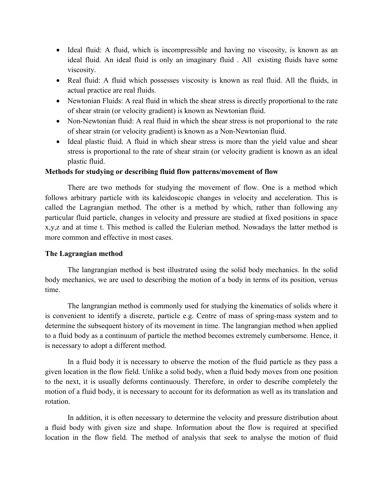- Ideal fluid: A fluid, which is incompressible and having no viscosity, is known as an ideal fluid. An ideal fluid is only an imaginary fluid . All existing fluids have some viscosity.
- Real fluid: A fluid which possesses viscosity is known as real fluid. All the fluids, in actual practice are real fluids.
- Newtonian Fluids: A real fluid in which the shear stress is directly proportional to the rate of shear strain (or velocity gradient) is known as Newtonian fluid.
- Non-Newtonian fluid: A real fluid in which the shear stress is not proportional to the rate of shear strain (or velocity gradient) is known as a Non-Newtonian fluid.
- Ideal plastic fluid. A fluid in which shear stress is more than the yield value and shear stress is proportional to the rate of shear strain (or velocity gradient is known as an ideal plastic fluid.

# **Methods for studying or describing fluid flow patterns/movement of flow**

There are two methods for studying the movement of flow. One is a method which follows arbitrary particle with its kaleidoscopic changes in velocity and acceleration. This is called the Lagrangian method. The other is a method by which, rather than following any particular fluid particle, changes in velocity and pressure are studied at fixed positions in space x,y,z and at time t. This method is called the Eulerian method. Nowadays the latter method is more common and effective in most cases.

## **The Lagrangian method**

The langrangian method is best illustrated using the solid body mechanics. In the solid body mechanics, we are used to describing the motion of a body in terms of its position, versus time.

The langrangian method is commonly used for studying the kinematics of solids where it is convenient to identify a discrete, particle e.g. Centre of mass of spring-mass system and to determine the subsequent history of its movement in time. The langrangian method when applied to a fluid body as a continuum of particle the method becomes extremely cumbersome. Hence, it is necessary to adopt a different method.

In a fluid body it is necessary to observe the motion of the fluid particle as they pass a given location in the flow field. Unlike a solid body, when a fluid body moves from one position to the next, it is usually deforms continuously. Therefore, in order to describe completely the motion of a fluid body, it is necessary to account for its deformation as well as its translation and rotation.

In addition, it is often necessary to determine the velocity and pressure distribution about a fluid body with given size and shape. Information about the flow is required at specified location in the flow field. The method of analysis that seek to analyse the motion of fluid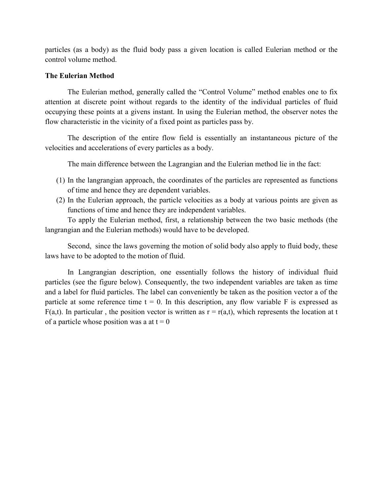particles (as a body) as the fluid body pass a given location is called Eulerian method or the control volume method.

# **The Eulerian Method**

The Eulerian method, generally called the "Control Volume" method enables one to fix attention at discrete point without regards to the identity of the individual particles of fluid occupying these points at a givens instant. In using the Eulerian method, the observer notes the flow characteristic in the vicinity of a fixed point as particles pass by.

The description of the entire flow field is essentially an instantaneous picture of the velocities and accelerations of every particles as a body.

The main difference between the Lagrangian and the Eulerian method lie in the fact:

- (1) In the langrangian approach, the coordinates of the particles are represented as functions of time and hence they are dependent variables.
- (2) In the Eulerian approach, the particle velocities as a body at various points are given as functions of time and hence they are independent variables.

To apply the Eulerian method, first, a relationship between the two basic methods (the langrangian and the Eulerian methods) would have to be developed.

Second, since the laws governing the motion of solid body also apply to fluid body, these laws have to be adopted to the motion of fluid.

In Langrangian description, one essentially follows the history of individual fluid particles (see the figure below). Consequently, the two independent variables are taken as time and a label for fluid particles. The label can conveniently be taken as the position vector a of the particle at some reference time  $t = 0$ . In this description, any flow variable F is expressed as F(a,t). In particular, the position vector is written as  $r = r(a,t)$ , which represents the location at t of a particle whose position was a at  $t = 0$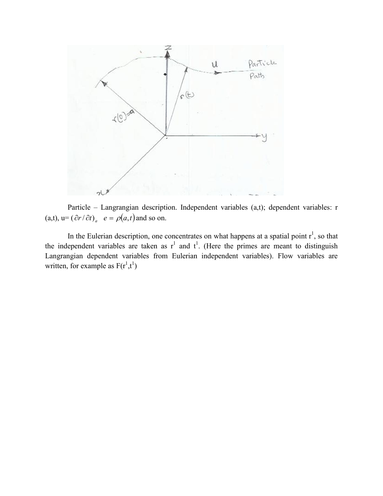

Particle – Langrangian description. Independent variables (a,t); dependent variables: r (a,t),  $u=(\partial r/\partial t)_a$   $e=\rho(a,t)$  and so on.

In the Eulerian description, one concentrates on what happens at a spatial point  $r^1$ , so that the independent variables are taken as  $r^1$  and  $t^1$ . (Here the primes are meant to distinguish Langrangian dependent variables from Eulerian independent variables). Flow variables are written, for example as  $F(r^1,t^1)$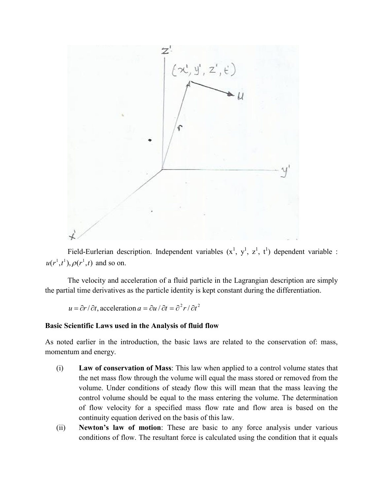

Field-Eurlerian description. Independent variables  $(x^1, y^1, z^1, t^1)$  dependent variable :  $u(r^1, t^1), \rho(r^1, t)$  and so on.

The velocity and acceleration of a fluid particle in the Lagrangian description are simply the partial time derivatives as the particle identity is kept constant during the differentiation.

$$
u = \partial r / \partial t
$$
, acceleration  $a = \partial u / \partial t = \partial^2 r / \partial t^2$ 

## **Basic Scientific Laws used in the Analysis of fluid flow**

As noted earlier in the introduction, the basic laws are related to the conservation of: mass, momentum and energy.

- (i) **Law of conservation of Mass**: This law when applied to a control volume states that the net mass flow through the volume will equal the mass stored or removed from the volume. Under conditions of steady flow this will mean that the mass leaving the control volume should be equal to the mass entering the volume. The determination of flow velocity for a specified mass flow rate and flow area is based on the continuity equation derived on the basis of this law.
- (ii) **Newton's law of motion**: These are basic to any force analysis under various conditions of flow. The resultant force is calculated using the condition that it equals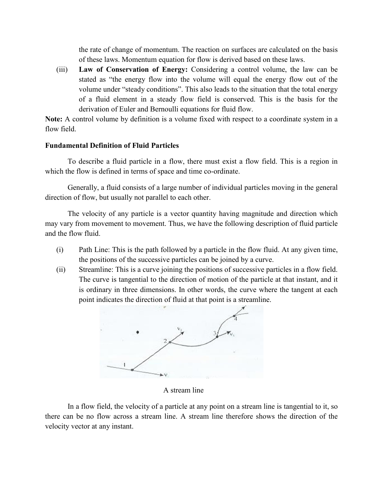the rate of change of momentum. The reaction on surfaces are calculated on the basis of these laws. Momentum equation for flow is derived based on these laws.

(iii) **Law of Conservation of Energy:** Considering a control volume, the law can be stated as "the energy flow into the volume will equal the energy flow out of the volume under "steady conditions". This also leads to the situation that the total energy of a fluid element in a steady flow field is conserved. This is the basis for the derivation of Euler and Bernoulli equations for fluid flow.

**Note:** A control volume by definition is a volume fixed with respect to a coordinate system in a flow field.

# **Fundamental Definition of Fluid Particles**

To describe a fluid particle in a flow, there must exist a flow field. This is a region in which the flow is defined in terms of space and time co-ordinate.

Generally, a fluid consists of a large number of individual particles moving in the general direction of flow, but usually not parallel to each other.

The velocity of any particle is a vector quantity having magnitude and direction which may vary from movement to movement. Thus, we have the following description of fluid particle and the flow fluid.

- (i) Path Line: This is the path followed by a particle in the flow fluid. At any given time, the positions of the successive particles can be joined by a curve.
- (ii) Streamline: This is a curve joining the positions of successive particles in a flow field. The curve is tangential to the direction of motion of the particle at that instant, and it is ordinary in three dimensions. In other words, the curve where the tangent at each point indicates the direction of fluid at that point is a streamline.



A stream line

In a flow field, the velocity of a particle at any point on a stream line is tangential to it, so there can be no flow across a stream line. A stream line therefore shows the direction of the velocity vector at any instant.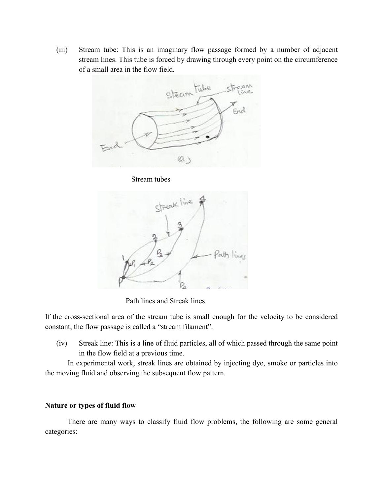(iii) Stream tube: This is an imaginary flow passage formed by a number of adjacent stream lines. This tube is forced by drawing through every point on the circumference of a small area in the flow field.



Stream tubes



Path lines and Streak lines

If the cross-sectional area of the stream tube is small enough for the velocity to be considered constant, the flow passage is called a "stream filament".

(iv) Streak line: This is a line of fluid particles, all of which passed through the same point in the flow field at a previous time.

In experimental work, streak lines are obtained by injecting dye, smoke or particles into the moving fluid and observing the subsequent flow pattern.

## **Nature or types of fluid flow**

There are many ways to classify fluid flow problems, the following are some general categories: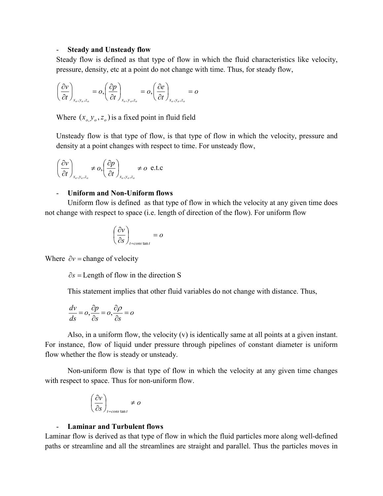### - **Steady and Unsteady flow**

Steady flow is defined as that type of flow in which the fluid characteristics like velocity, pressure, density, etc at a point do not change with time. Thus, for steady flow,

$$
\left(\frac{\partial v}{\partial t}\right)_{x_o, y_o, z_o} = o, \left(\frac{\partial p}{\partial t}\right)_{x_o, y_o, z_o} = o, \left(\frac{\partial e}{\partial t}\right)_{x_o, y_o, z_o} = o
$$

Where  $(x_a, y_a, z_a)$  is a fixed point in fluid field

Unsteady flow is that type of flow, is that type of flow in which the velocity, pressure and density at a point changes with respect to time. For unsteady flow,

$$
\left(\frac{\partial v}{\partial t}\right)_{x_o, y_o, z_o} \neq o, \left(\frac{\partial p}{\partial t}\right)_{x_o, y_o, z_o} \neq o \text{ e.t.c}
$$

## - **Uniform and Non-Uniform flows**

Uniform flow is defined as that type of flow in which the velocity at any given time does not change with respect to space (i.e. length of direction of the flow). For uniform flow

$$
\left(\frac{\partial v}{\partial s}\right)_{t=\text{const} \tan t} = o
$$

Where  $\partial v =$ change of velocity

 $\partial s$  = Length of flow in the direction S

This statement implies that other fluid variables do not change with distance. Thus,

$$
\frac{dv}{ds} = o, \frac{\partial p}{\partial s} = o, \frac{\partial \rho}{\partial s} = o
$$

Also, in a uniform flow, the velocity (v) is identically same at all points at a given instant. For instance, flow of liquid under pressure through pipelines of constant diameter is uniform flow whether the flow is steady or unsteady.

Non-uniform flow is that type of flow in which the velocity at any given time changes with respect to space. Thus for non-uniform flow.

$$
\left(\frac{\partial v}{\partial s}\right)_{t=\text{constan }t} \neq o
$$

## - **Laminar and Turbulent flows**

Laminar flow is derived as that type of flow in which the fluid particles more along well-defined paths or streamline and all the streamlines are straight and parallel. Thus the particles moves in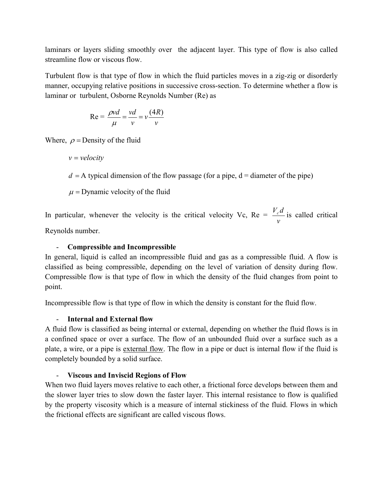laminars or layers sliding smoothly over the adjacent layer. This type of flow is also called streamline flow or viscous flow.

Turbulent flow is that type of flow in which the fluid particles moves in a zig-zig or disorderly manner, occupying relative positions in successive cross-section. To determine whether a flow is laminar or turbulent, Osborne Reynolds Number (Re) as

$$
Re = \frac{\rho v d}{\mu} = \frac{v d}{v} = v \frac{(4R)}{v}
$$

Where,  $\rho$  = Density of the fluid

 $v =$ *velocity*  $d = A$  typical dimension of the flow passage (for a pipe,  $d =$  diameter of the pipe)  $\mu$  = Dynamic velocity of the fluid

In particular, whenever the velocity is the critical velocity  $V_c$ ,  $Re =$ *v*  $\frac{V_c d}{dt}$  is called critical

Reynolds number.

# - **Compressible and Incompressible**

In general, liquid is called an incompressible fluid and gas as a compressible fluid. A flow is classified as being compressible, depending on the level of variation of density during flow. Compressible flow is that type of flow in which the density of the fluid changes from point to point.

Incompressible flow is that type of flow in which the density is constant for the fluid flow.

# - **Internal and External flow**

A fluid flow is classified as being internal or external, depending on whether the fluid flows is in a confined space or over a surface. The flow of an unbounded fluid over a surface such as a plate, a wire, or a pipe is external flow. The flow in a pipe or duct is internal flow if the fluid is completely bounded by a solid surface.

# - **Viscous and Inviscid Regions of Flow**

When two fluid layers moves relative to each other, a frictional force develops between them and the slower layer tries to slow down the faster layer. This internal resistance to flow is qualified by the property viscosity which is a measure of internal stickiness of the fluid. Flows in which the frictional effects are significant are called viscous flows.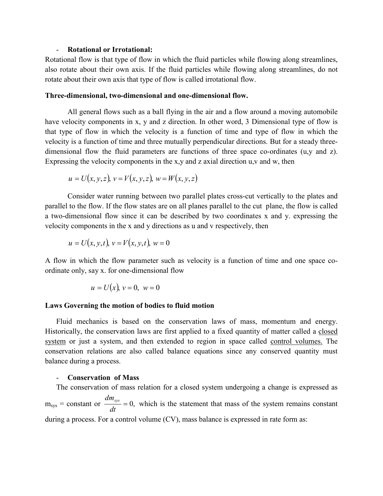### - **Rotational or Irrotational:**

Rotational flow is that type of flow in which the fluid particles while flowing along streamlines, also rotate about their own axis. If the fluid particles while flowing along streamlines, do not rotate about their own axis that type of flow is called irrotational flow.

#### **Three-dimensional, two-dimensional and one-dimensional flow.**

All general flows such as a ball flying in the air and a flow around a moving automobile have velocity components in x, y and z direction. In other word, 3 Dimensional type of flow is that type of flow in which the velocity is a function of time and type of flow in which the velocity is a function of time and three mutually perpendicular directions. But for a steady threedimensional flow the fluid parameters are functions of three space co-ordinates (u,y and z). Expressing the velocity components in the x,y and z axial direction u,v and w, then

$$
u = U(x, y, z), v = V(x, y, z), w = W(x, y, z)
$$

Consider water running between two parallel plates cross-cut vertically to the plates and parallel to the flow. If the flow states are on all planes parallel to the cut plane, the flow is called a two-dimensional flow since it can be described by two coordinates x and y. expressing the velocity components in the x and y directions as u and v respectively, then

$$
u = U(x, y, t), v = V(x, y, t), w = 0
$$

A flow in which the flow parameter such as velocity is a function of time and one space coordinate only, say x. for one-dimensional flow

$$
u = U(x), v = 0, w = 0
$$

#### **Laws Governing the motion of bodies to fluid motion**

Fluid mechanics is based on the conservation laws of mass, momentum and energy. Historically, the conservation laws are first applied to a fixed quantity of matter called a closed system or just a system, and then extended to region in space called control volumes. The conservation relations are also called balance equations since any conserved quantity must balance during a process.

### - **Conservation of Mass**

The conservation of mass relation for a closed system undergoing a change is expressed as  $m_{sys}$  = constant or  $\frac{m_{sys}}{dt} = 0$ ,  $\frac{dm_{sys}}{dr} = 0$ , which is the statement that mass of the system remains constant during a process. For a control volume (CV), mass balance is expressed in rate form as: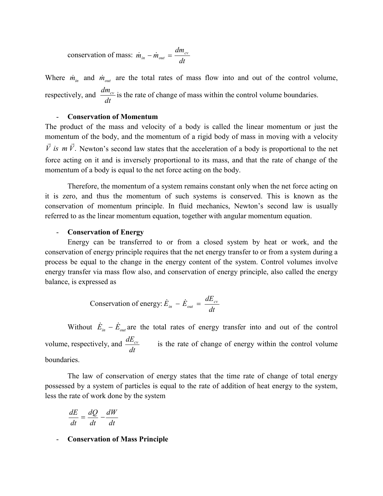conservation of mass: *dt*  $\dot{m}_{in} - \dot{m}_{out} = \frac{dm_{cv}}{dt}$ 

Where  $\dot{m}_{in}$  and  $\dot{m}_{out}$  are the total rates of mass flow into and out of the control volume, respectively, and  $\frac{dm_{cv}}{dt}$  is the rate of change of mass within the control volume boundaries.

### - **Conservation of Momentum**

The product of the mass and velocity of a body is called the linear momentum or just the momentum of the body, and the momentum of a rigid body of mass in moving with a velocity  $\vec{V}$  *is*  $m \vec{V}$ . Newton's second law states that the acceleration of a body is proportional to the net force acting on it and is inversely proportional to its mass, and that the rate of change of the momentum of a body is equal to the net force acting on the body.

Therefore, the momentum of a system remains constant only when the net force acting on it is zero, and thus the momentum of such systems is conserved. This is known as the conservation of momentum principle. In fluid mechanics, Newton's second law is usually referred to as the linear momentum equation, together with angular momentum equation.

### - **Conservation of Energy**

Energy can be transferred to or from a closed system by heat or work, and the conservation of energy principle requires that the net energy transfer to or from a system during a process be equal to the change in the energy content of the system. Control volumes involve energy transfer via mass flow also, and conservation of energy principle, also called the energy balance, is expressed as

Conservation of energy: 
$$
\dot{E}_{in} - \dot{E}_{out} = \frac{dE_{cv}}{dt}
$$

Without  $\dot{E}_{in} - \dot{E}_{out}$  are the total rates of energy transfer into and out of the control volume, respectively, and  $\frac{dE_{cv}}{dt}$  is the rate of change of energy within the control volume boundaries.

The law of conservation of energy states that the time rate of change of total energy possessed by a system of particles is equal to the rate of addition of heat energy to the system, less the rate of work done by the system

$$
\frac{dE}{dt} = \frac{dQ}{dt} - \frac{dW}{dt}
$$

- **Conservation of Mass Principle**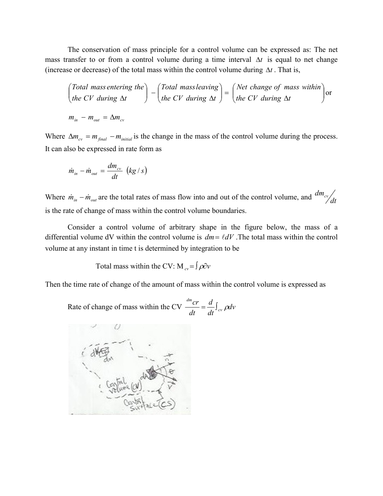The conservation of mass principle for a control volume can be expressed as: The net mass transfer to or from a control volume during a time interval  $\Delta t$  is equal to net change (increase or decrease) of the total mass within the control volume during  $\Delta t$ . That is,

$$
\begin{pmatrix}\n\text{Total mass entering the} \\
\text{the CV during } \Delta t\n\end{pmatrix} - \begin{pmatrix}\n\text{Total mass leaving} \\
\text{the CV during } \Delta t\n\end{pmatrix} = \begin{pmatrix}\n\text{Net change of mass within} \\
\text{the CV during } \Delta t\n\end{pmatrix} \text{or}
$$
\n
$$
m_{in} - m_{out} = \Delta m_{cv}
$$

Where  $\Delta m_{cv} = m_{final} - m_{initial}$  is the change in the mass of the control volume during the process. It can also be expressed in rate form as

$$
\dot{m}_{in} - \dot{m}_{out} = \frac{dm_{cv}}{dt} \left(kg/s\right)
$$

Where  $\dot{m}_{in} - \dot{m}_{out}$  are the total rates of mass flow into and out of the control volume, and  $\frac{dm_{cy}}{dt}$ is the rate of change of mass within the control volume boundaries.

Consider a control volume of arbitrary shape in the figure below, the mass of a differential volume dV within the control volume is  $dm = \ell dV$ . The total mass within the control volume at any instant in time t is determined by integration to be

Total mass within the CV:  $M_{cv} = \int \rho \partial v$ 

Then the time rate of change of the amount of mass within the control volume is expressed as

Rate of change of mass within the CV  $\frac{c}{dt} = \frac{a}{dt}\int_{cV} \rho dv$ *dt d dt cr cv dm*  $=\frac{u}{l} \int_{cV} \rho$ 

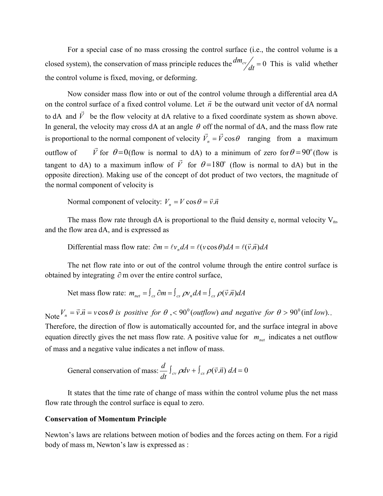For a special case of no mass crossing the control surface (i.e., the control volume is a closed system), the conservation of mass principle reduces the  $\frac{dm_{cy}}{dt} = 0$  This is valid whether the control volume is fixed, moving, or deforming.

Now consider mass flow into or out of the control volume through a differential area dA on the control surface of a fixed control volume. Let  $\vec{n}$  be the outward unit vector of dA normal to dA and  $\vec{V}$  be the flow velocity at dA relative to a fixed coordinate system as shown above. In general, the velocity may cross dA at an angle  $\theta$  off the normal of dA, and the mass flow rate is proportional to the normal component of velocity  $\vec{V}_n = \vec{V} \cos \theta$  ranging from a maximum outflow of  $\overline{a}$ for  $\theta = 0$ (flow is normal to dA) to a minimum of zero for  $\theta = 90^\circ$  (flow is tangent to dA) to a maximum inflow of  $\vec{V}$  for  $\theta = 180^\circ$  (flow is normal to dA) but in the opposite direction). Making use of the concept of dot product of two vectors, the magnitude of the normal component of velocity is

Normal component of velocity:  $V_n = V \cos \theta = \vec{v} \cdot \vec{n}$ 

The mass flow rate through  $dA$  is proportional to the fluid density e, normal velocity  $V_n$ , and the flow area dA, and is expressed as

Differential mass flow rate:  $\partial m = \ell v_n dA = \ell (v \cos \theta) dA = \ell (\vec{v} \cdot \vec{n}) dA$ 

The net flow rate into or out of the control volume through the entire control surface is obtained by integrating  $\partial$  m over the entire control surface,

Net mass flow rate:  $m_{net} = \int_{cs} \partial m = \int_{cs} \rho v_n dA = \int_{cs} \rho (\vec{v} \cdot \vec{n}) dA$ 

Note  $V_n = \vec{v} \cdot \vec{n} = v \cos \theta$  is positive for  $\theta$ , < 90<sup>°</sup> (outflow) and negative for  $\theta > 90^\circ$  (inf low). Therefore, the direction of flow is automatically accounted for, and the surface integral in above equation directly gives the net mass flow rate. A positive value for  $m_{net}$  indicates a net outflow of mass and a negative value indicates a net inflow of mass.

General conservation of mass:  $\frac{d}{dx}\int_{cv} \rho dv + \int_{cs} \rho (\vec{v} \cdot \vec{n}) dA = 0$ *dt d*  $_{cv} \rho dv + \int_{cs} \rho(\vec{v}.\vec{n})$ 

It states that the time rate of change of mass within the control volume plus the net mass flow rate through the control surface is equal to zero.

### **Conservation of Momentum Principle**

Newton's laws are relations between motion of bodies and the forces acting on them. For a rigid body of mass m, Newton's law is expressed as :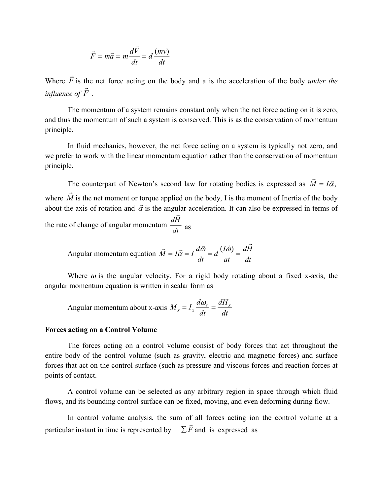$$
\vec{F} = m\vec{a} = m\frac{d\vec{V}}{dt} = d\frac{(mv)}{dt}
$$

Where *F*  $\rightarrow$ is the net force acting on the body and a is the acceleration of the body *under the influence of F*  $\frac{1}{x}$ *.* 

The momentum of a system remains constant only when the net force acting on it is zero, and thus the momentum of such a system is conserved. This is as the conservation of momentum principle.

In fluid mechanics, however, the net force acting on a system is typically not zero, and we prefer to work with the linear momentum equation rather than the conservation of momentum principle.

The counterpart of Newton's second law for rotating bodies is expressed as  $M = I\vec{\alpha}$ ,  $\vec{r}$   $\vec{r}$  $M = I$ where *M*  $\rightarrow$ is the net moment or torque applied on the body, I is the moment of Inertia of the body about the axis of rotation and  $\vec{\alpha}$  is the angular acceleration. It can also be expressed in terms of the rate of change of angular momentum  $\frac{dH}{dt}$ *dH*  $\ddot{\phantom{0}}$ as

Angular momentum equation 
$$
\vec{M} = I\vec{\alpha} = I\frac{d\vec{\omega}}{dt} = d\frac{(I\vec{\omega})}{at} = \frac{d\vec{H}}{dt}
$$

Where  $\omega$  is the angular velocity. For a rigid body rotating about a fixed x-axis, the angular momentum equation is written in scalar form as

Angular momentum about x-axis 
$$
M_x = I_x \frac{d\omega_s}{dt} = \frac{dH_x}{dt}
$$

#### **Forces acting on a Control Volume**

The forces acting on a control volume consist of body forces that act throughout the entire body of the control volume (such as gravity, electric and magnetic forces) and surface forces that act on the control surface (such as pressure and viscous forces and reaction forces at points of contact.

A control volume can be selected as any arbitrary region in space through which fluid flows, and its bounding control surface can be fixed, moving, and even deforming during flow.

In control volume analysis, the sum of all forces acting ion the control volume at a particular instant in time is represented by  $\sum \vec{F}$  and is expressed as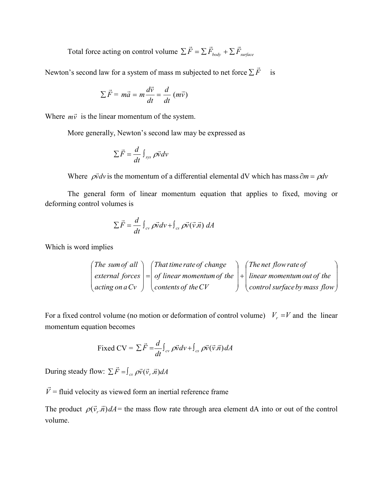Total force acting on control volume  $\sum \vec{F} = \sum \vec{F}_{body} + \sum \vec{F}_{surface}$ 

Newton's second law for a system of mass m subjected to net force  $\sum \vec{F}$  is

$$
\sum \vec{F} = m\vec{a} = m\frac{d\vec{v}}{dt} = \frac{d}{dt} (m\vec{v})
$$

Where  $m\vec{v}$  is the linear momentum of the system.

More generally, Newton's second law may be expressed as

$$
\sum \vec{F} = \frac{d}{dt} \int_{sys} \rho \vec{v} \, dv
$$

Where  $\rho \vec{v} dv$  is the momentum of a differential elemental dV which has mass  $\partial m = \rho dv$ 

The general form of linear momentum equation that applies to fixed, moving or deforming control volumes is

$$
\sum \vec{F} = \frac{d}{dt} \int_{cv} \rho \vec{v} dv + \int_{cs} \rho \vec{v} (\vec{v} \cdot \vec{n}) dA
$$

Which is word implies

$$
\begin{pmatrix}\nThe sum of all \\
external forces \\
acting on a Cv\n\end{pmatrix} = \begin{pmatrix}\nThat time rate of change \\
of linear momentum of the \\
contents of the CV\n\end{pmatrix} + \begin{pmatrix}\nThe net flow rate of \\
linear momentum out of the \\
control surface by mass flow\n\end{pmatrix}
$$

For a fixed control volume (no motion or deformation of control volume)  $V_r = V$  and the linear momentum equation becomes

Fixed CV = 
$$
\sum \vec{F} = \frac{d}{dt} \int_{cv} \rho \vec{v} dv + \int_{cs} \rho \vec{v} (\vec{v} \cdot \vec{n}) dA
$$

During steady flow:  $\sum \vec{F} = \int_{cs} \rho \vec{v}(\vec{v}_r, \vec{n}) dA$ 

*V*  $\rightarrow$ = fluid velocity as viewed form an inertial reference frame

The product  $\rho(\vec{v}, \vec{n})dA$  = the mass flow rate through area element dA into or out of the control volume.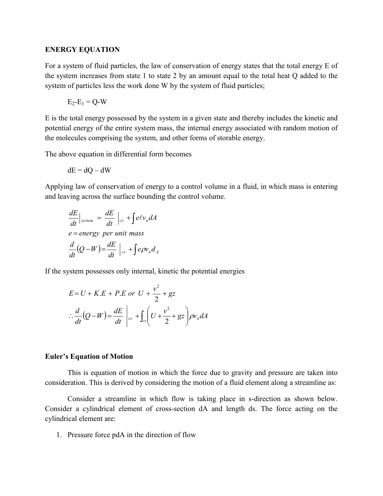### **ENERGY EQUATION**

For a system of fluid particles, the law of conservation of energy states that the total energy E of the system increases from state 1 to state 2 by an amount equal to the total heat Q added to the system of particles less the work done W by the system of fluid particles;

$$
E_2-E_1=Q-W
$$

E is the total energy possessed by the system in a given state and thereby includes the kinetic and potential energy of the entire system mass, the internal energy associated with random motion of the molecules comprising the system, and other forms of storable energy.

The above equation in differential form becomes

$$
dE = dQ - dW
$$

Applying law of conservation of energy to a control volume in a fluid, in which mass is entering and leaving across the surface bounding the control volume.

$$
\frac{dE}{dt}\Big|_{system} = \frac{dE}{dt}\Big|_{cv} + \int e\ell v_n dA
$$
  

$$
e = energy per unit mass
$$
  

$$
\frac{d}{dt}(Q - W) = \frac{dE}{dt}\Big|_{cv} + \int e\rho v_n d_A
$$

If the system possesses only internal, kinetic the potential energies

$$
E = U + K.E + P.E \text{ or } U + \frac{v^2}{2} + gz
$$
  

$$
\therefore \frac{d}{dt}(Q - W) = \frac{dE}{dt}\Big|_{cv} + \int_{cs} \left(U + \frac{v^2}{2} + gz\right) \rho v_n dA
$$

### **Euler's Equation of Motion**

This is equation of motion in which the force due to gravity and pressure are taken into consideration. This is derived by considering the motion of a fluid element along a streamline as:

Consider a streamline in which flow is taking place in s-direction as shown below. Consider a cylindrical element of cross-section dA and length ds. The force acting on the cylindrical element are:

1. Pressure force pdA in the direction of flow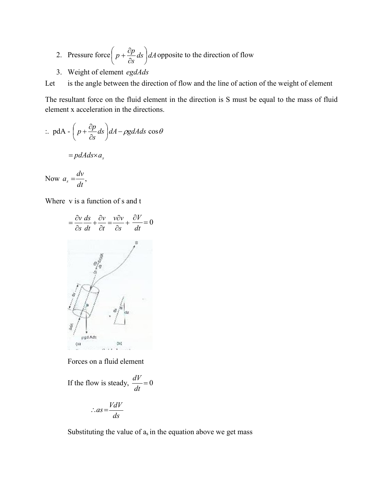- 2. Pressure force  $p + \frac{p}{2} ds$   $dA$ *s*  $p + \frac{\partial p}{\partial} ds$ J  $\left(p+\frac{\partial p}{\partial s}ds\right)$  $\setminus$ ſ  $\partial$  $+\frac{\partial p}{\partial z}ds$  as  $\partial dA$  opposite to the direction of flow
- 3. Weight of element *egdAds*

Let is the angle between the direction of flow and the line of action of the weight of element

The resultant force on the fluid element in the direction is S must be equal to the mass of fluid element x acceleration in the directions.

$$
\therefore \text{ pdA} - \left(p + \frac{\partial p}{\partial s} ds\right) dA - \rho g dA ds \cos \theta
$$

 $=$ *pdAds* $\times a_s$ 

Now 
$$
a_s = \frac{dv}{dt}
$$
,

Where v is a function of s and t



Forces on a fluid element

If the flow is steady,  $\frac{u}{1} = 0$ *dt dV*

$$
\therefore as = \frac{VdV}{ds}
$$

Substituting the value of  $a_s$  in the equation above we get mass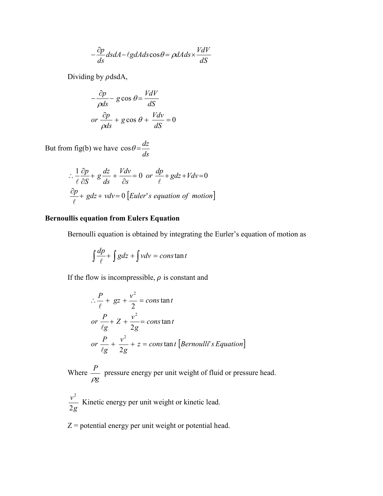$$
-\frac{\partial p}{\partial s}ds dA - \ell g dA ds \cos \theta = \rho dA ds \times \frac{VdV}{dS}
$$

Dividing by  $\rho$ dsdA,

$$
-\frac{\partial p}{\rho ds} - g \cos \theta = \frac{VdV}{dS}
$$
  
or  $\frac{\partial p}{\rho ds} + g \cos \theta + \frac{Vdv}{dS} = 0$ 

But from fig(b) we have  $\cos \theta = \frac{dz}{ds}$ 

$$
\therefore \frac{1}{\ell} \frac{\partial p}{\partial S} + g \frac{dz}{ds} + \frac{Vdv}{\partial s} = 0 \text{ or } \frac{dp}{\ell} + gdz + Vdv = 0
$$
  

$$
\frac{\partial p}{\ell} + gdz + vdv = 0 \left[ Euler's equation of motion \right]
$$

# **Bernoullis equation from Eulers Equation**

Bernoulli equation is obtained by integrating the Eurler's equation of motion as

$$
\int \frac{dp}{\ell} + \int gdz + \int vdv = const
$$
an t

If the flow is incompressible,  $\rho$  is constant and

$$
\therefore \frac{P}{\ell} + gz + \frac{v^2}{2} = \text{const} \text{an} t
$$
\n
$$
\text{or } \frac{P}{\ell g} + Z + \frac{v^2}{2g} = \text{const} \text{an} t
$$
\n
$$
\text{or } \frac{P}{\ell g} + \frac{v^2}{2g} + z = \text{const} \text{an} t \text{ [Bernoulli's Equation]}
$$

Where *g P*  $\rho_{l}$ pressure energy per unit weight of fluid or pressure head.

*g v* 2 2 Kinetic energy per unit weight or kinetic lead.

 $Z =$  potential energy per unit weight or potential head.